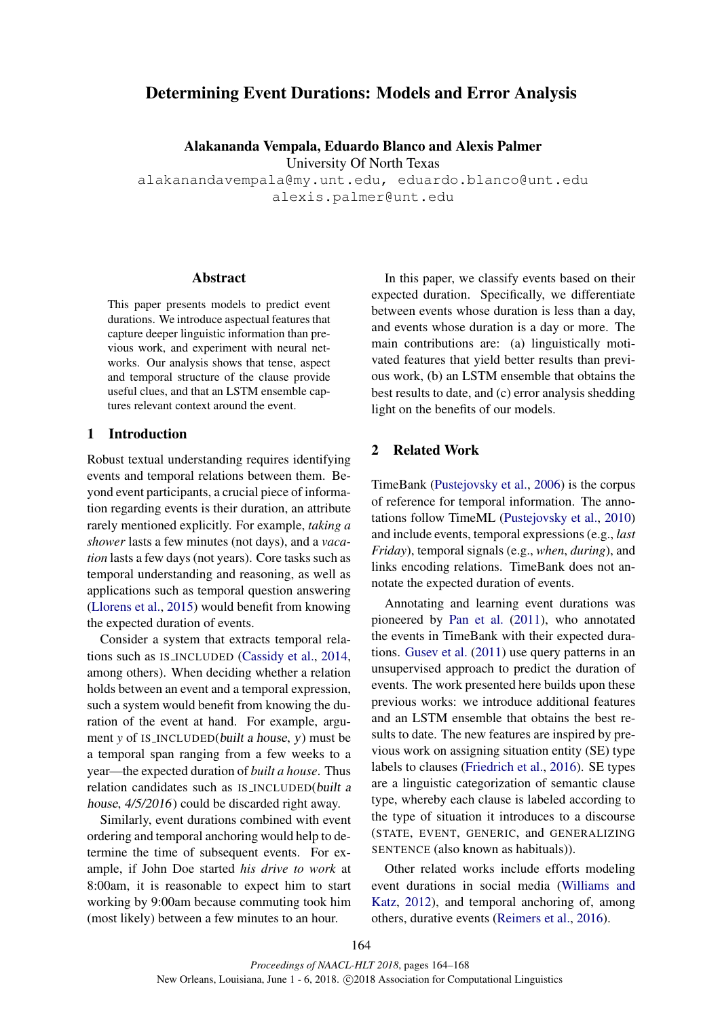# Determining Event Durations: Models and Error Analysis

Alakananda Vempala, Eduardo Blanco and Alexis Palmer

University Of North Texas

alakanandavempala@my.unt.edu, eduardo.blanco@unt.edu alexis.palmer@unt.edu

#### Abstract

This paper presents models to predict event durations. We introduce aspectual features that capture deeper linguistic information than previous work, and experiment with neural networks. Our analysis shows that tense, aspect and temporal structure of the clause provide useful clues, and that an LSTM ensemble captures relevant context around the event.

### 1 Introduction

Robust textual understanding requires identifying events and temporal relations between them. Beyond event participants, a crucial piece of information regarding events is their duration, an attribute rarely mentioned explicitly. For example, *taking a shower* lasts a few minutes (not days), and a *vacation* lasts a few days (not years). Core tasks such as temporal understanding and reasoning, as well as applications such as temporal question answering (Llorens et al., 2015) would benefit from knowing the expected duration of events.

Consider a system that extracts temporal relations such as IS INCLUDED (Cassidy et al., 2014, among others). When deciding whether a relation holds between an event and a temporal expression, such a system would benefit from knowing the duration of the event at hand. For example, argument *y* of IS INCLUDED(built a house, y) must be a temporal span ranging from a few weeks to a year—the expected duration of *built a house*. Thus relation candidates such as IS INCLUDED(built a house, 4/5/2016) could be discarded right away.

Similarly, event durations combined with event ordering and temporal anchoring would help to determine the time of subsequent events. For example, if John Doe started *his drive to work* at 8:00am, it is reasonable to expect him to start working by 9:00am because commuting took him (most likely) between a few minutes to an hour.

In this paper, we classify events based on their expected duration. Specifically, we differentiate between events whose duration is less than a day, and events whose duration is a day or more. The main contributions are: (a) linguistically motivated features that yield better results than previous work, (b) an LSTM ensemble that obtains the best results to date, and (c) error analysis shedding light on the benefits of our models.

### 2 Related Work

TimeBank (Pustejovsky et al., 2006) is the corpus of reference for temporal information. The annotations follow TimeML (Pustejovsky et al., 2010) and include events, temporal expressions (e.g., *last Friday*), temporal signals (e.g., *when*, *during*), and links encoding relations. TimeBank does not annotate the expected duration of events.

Annotating and learning event durations was pioneered by Pan et al. (2011), who annotated the events in TimeBank with their expected durations. Gusev et al. (2011) use query patterns in an unsupervised approach to predict the duration of events. The work presented here builds upon these previous works: we introduce additional features and an LSTM ensemble that obtains the best results to date. The new features are inspired by previous work on assigning situation entity (SE) type labels to clauses (Friedrich et al., 2016). SE types are a linguistic categorization of semantic clause type, whereby each clause is labeled according to the type of situation it introduces to a discourse (STATE, EVENT, GENERIC, and GENERALIZING SENTENCE (also known as habituals)).

Other related works include efforts modeling event durations in social media (Williams and Katz, 2012), and temporal anchoring of, among others, durative events (Reimers et al., 2016).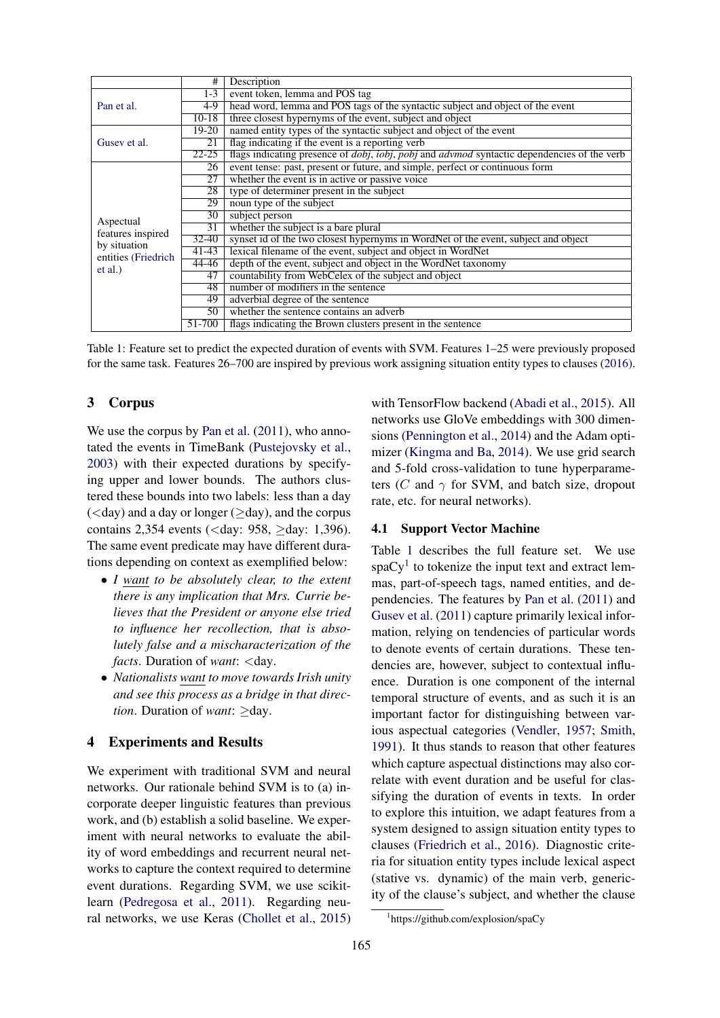|                                                                                  | #               | Description                                                                                                               |  |  |  |
|----------------------------------------------------------------------------------|-----------------|---------------------------------------------------------------------------------------------------------------------------|--|--|--|
| Pan et al.                                                                       | $1 - 3$         | event token, lemma and POS tag                                                                                            |  |  |  |
|                                                                                  | 4-9             | head word, lemma and POS tags of the syntactic subject and object of the event                                            |  |  |  |
|                                                                                  | $10-18$         | three closest hypernyms of the event, subject and object                                                                  |  |  |  |
| Gusev et al.                                                                     | 19-20           | named entity types of the syntactic subject and object of the event                                                       |  |  |  |
|                                                                                  | 21              | flag indicating if the event is a reporting verb                                                                          |  |  |  |
|                                                                                  | $22 - 25$       | flags indicating presence of <i>dobj</i> , <i>iobj</i> , <i>pobj</i> and <i>advmod</i> syntactic dependencies of the verb |  |  |  |
| Aspectual<br>features inspired<br>by situation<br>entities (Friedrich<br>et al.) | 26              | event tense: past, present or future, and simple, perfect or continuous form                                              |  |  |  |
|                                                                                  | 27              | whether the event is in active or passive voice                                                                           |  |  |  |
|                                                                                  | 28              | type of determiner present in the subject                                                                                 |  |  |  |
|                                                                                  | 29              | noun type of the subject                                                                                                  |  |  |  |
|                                                                                  | 30 <sup>7</sup> | subject person                                                                                                            |  |  |  |
|                                                                                  | 31              | whether the subject is a bare plural                                                                                      |  |  |  |
|                                                                                  | $32 - 40$       | synset id of the two closest hypernyms in WordNet of the event, subject and object                                        |  |  |  |
|                                                                                  | $41 - 43$       | lexical filename of the event, subject and object in WordNet                                                              |  |  |  |
|                                                                                  | 44-46           | depth of the event, subject and object in the WordNet taxonomy                                                            |  |  |  |
|                                                                                  | 47              | countability from WebCelex of the subject and object                                                                      |  |  |  |
|                                                                                  | 48              | number of modifiers in the sentence                                                                                       |  |  |  |
|                                                                                  | 49              | adverbial degree of the sentence                                                                                          |  |  |  |
|                                                                                  | 50 <sup>2</sup> | whether the sentence contains an adverb                                                                                   |  |  |  |
|                                                                                  | 51-700          | flags indicating the Brown clusters present in the sentence                                                               |  |  |  |

Table 1: Feature set to predict the expected duration of events with SVM. Features 1–25 were previously proposed for the same task. Features 26–700 are inspired by previous work assigning situation entity types to clauses (2016).

### 3 Corpus

We use the corpus by Pan et al.  $(2011)$ , who annotated the events in TimeBank (Pustejovsky et al., 2003) with their expected durations by specifying upper and lower bounds. The authors clustered these bounds into two labels: less than a day  $(<$ day) and a day or longer ( $\geq$ day), and the corpus contains 2,354 events (<day: 958, ≥day: 1,396). The same event predicate may have different durations depending on context as exemplified below:

- *I want to be absolutely clear, to the extent there is any implication that Mrs. Currie believes that the President or anyone else tried to influence her recollection, that is absolutely false and a mischaracterization of the facts*. Duration of *want*: <day.
- *Nationalists want to move towards Irish unity and see this process as a bridge in that direction*. Duration of *want*: ≥day.

#### 4 Experiments and Results

We experiment with traditional SVM and neural networks. Our rationale behind SVM is to (a) incorporate deeper linguistic features than previous work, and (b) establish a solid baseline. We experiment with neural networks to evaluate the ability of word embeddings and recurrent neural networks to capture the context required to determine event durations. Regarding SVM, we use scikitlearn (Pedregosa et al., 2011). Regarding neural networks, we use Keras (Chollet et al., 2015)

with TensorFlow backend (Abadi et al., 2015). All networks use GloVe embeddings with 300 dimensions (Pennington et al., 2014) and the Adam optimizer (Kingma and Ba, 2014). We use grid search and 5-fold cross-validation to tune hyperparameters (C and  $\gamma$  for SVM, and batch size, dropout rate, etc. for neural networks).

#### 4.1 Support Vector Machine

Table 1 describes the full feature set. We use  $spaCy<sup>1</sup>$  to tokenize the input text and extract lemmas, part-of-speech tags, named entities, and dependencies. The features by Pan et al. (2011) and Gusev et al. (2011) capture primarily lexical information, relying on tendencies of particular words to denote events of certain durations. These tendencies are, however, subject to contextual influence. Duration is one component of the internal temporal structure of events, and as such it is an important factor for distinguishing between various aspectual categories (Vendler, 1957; Smith, 1991). It thus stands to reason that other features which capture aspectual distinctions may also correlate with event duration and be useful for classifying the duration of events in texts. In order to explore this intuition, we adapt features from a system designed to assign situation entity types to clauses (Friedrich et al., 2016). Diagnostic criteria for situation entity types include lexical aspect (stative vs. dynamic) of the main verb, genericity of the clause's subject, and whether the clause

<sup>1</sup> https://github.com/explosion/spaCy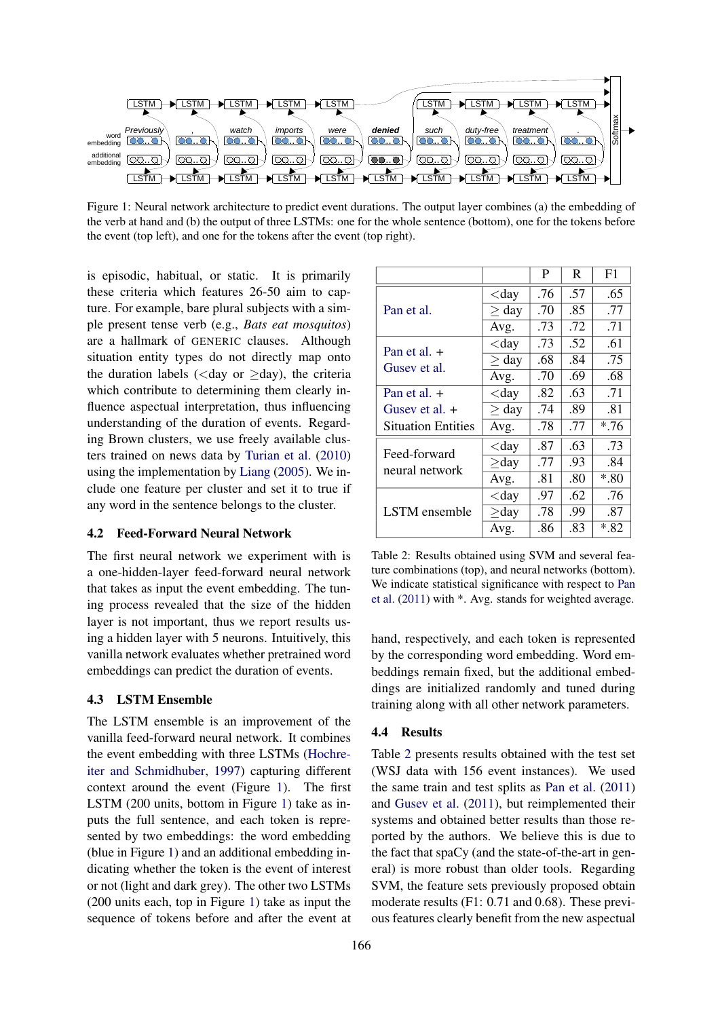

Figure 1: Neural network architecture to predict event durations. The output layer combines (a) the embedding of the verb at hand and (b) the output of three LSTMs: one for the whole sentence (bottom), one for the tokens before the event (top left), and one for the tokens after the event (top right).

is episodic, habitual, or static. It is primarily these criteria which features 26-50 aim to capture. For example, bare plural subjects with a simple present tense verb (e.g., *Bats eat mosquitos*) are a hallmark of GENERIC clauses. Although situation entity types do not directly map onto the duration labels ( $\langle$ day or  $\geq$ day), the criteria which contribute to determining them clearly influence aspectual interpretation, thus influencing understanding of the duration of events. Regarding Brown clusters, we use freely available clusters trained on news data by Turian et al. (2010) using the implementation by Liang (2005). We include one feature per cluster and set it to true if any word in the sentence belongs to the cluster.

### 4.2 Feed-Forward Neural Network

The first neural network we experiment with is a one-hidden-layer feed-forward neural network that takes as input the event embedding. The tuning process revealed that the size of the hidden layer is not important, thus we report results using a hidden layer with 5 neurons. Intuitively, this vanilla network evaluates whether pretrained word embeddings can predict the duration of events.

#### 4.3 LSTM Ensemble

The LSTM ensemble is an improvement of the vanilla feed-forward neural network. It combines the event embedding with three LSTMs (Hochreiter and Schmidhuber, 1997) capturing different context around the event (Figure 1). The first LSTM (200 units, bottom in Figure 1) take as inputs the full sentence, and each token is represented by two embeddings: the word embedding (blue in Figure 1) and an additional embedding indicating whether the token is the event of interest or not (light and dark grey). The other two LSTMs (200 units each, top in Figure 1) take as input the sequence of tokens before and after the event at

|                           |            | P   | R   | F1    |
|---------------------------|------------|-----|-----|-------|
|                           | $<$ day    | .76 | .57 | .65   |
| Pan et al.                | $\geq$ day | .70 | .85 | .77   |
|                           | Avg.       | .73 | .72 | .71   |
| Pan et al. $+$            | $<$ day    | .73 | .52 | .61   |
| Gusev et al.              | $\geq$ day | .68 | .84 | .75   |
|                           | Avg.       | .70 | .69 | .68   |
| Pan et al. $+$            | $<$ day    | .82 | .63 | .71   |
| Gusev et al. +            | $\geq$ day | .74 | .89 | .81   |
| <b>Situation Entities</b> | Avg.       | .78 | .77 | $*76$ |
| Feed-forward              | $<$ day    | .87 | .63 | .73   |
| neural network            | $\geq$ day | .77 | .93 | .84   |
|                           | Avg.       | .81 | .80 | $*80$ |
|                           | $<$ day    | .97 | .62 | .76   |
| LSTM ensemble             | $\geq$ day | .78 | .99 | .87   |
|                           | Avg.       | .86 | .83 | $*82$ |

Table 2: Results obtained using SVM and several feature combinations (top), and neural networks (bottom). We indicate statistical significance with respect to Pan et al. (2011) with \*. Avg. stands for weighted average.

hand, respectively, and each token is represented by the corresponding word embedding. Word embeddings remain fixed, but the additional embeddings are initialized randomly and tuned during training along with all other network parameters.

#### 4.4 Results

Table 2 presents results obtained with the test set (WSJ data with 156 event instances). We used the same train and test splits as Pan et al. (2011) and Gusev et al. (2011), but reimplemented their systems and obtained better results than those reported by the authors. We believe this is due to the fact that spaCy (and the state-of-the-art in general) is more robust than older tools. Regarding SVM, the feature sets previously proposed obtain moderate results (F1: 0.71 and 0.68). These previous features clearly benefit from the new aspectual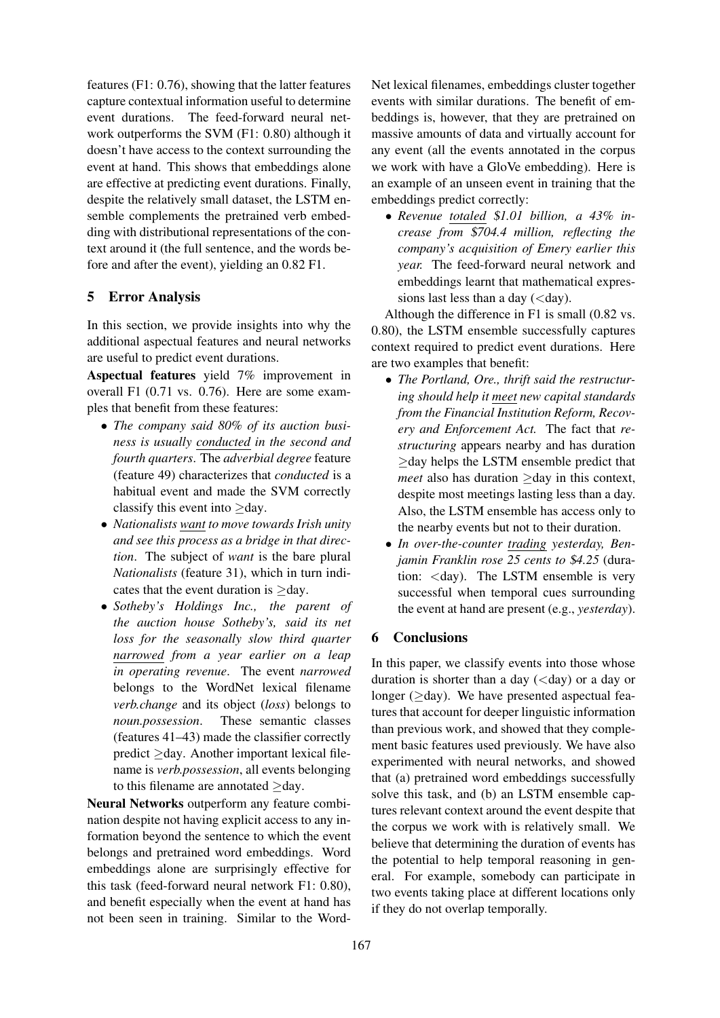features (F1: 0.76), showing that the latter features capture contextual information useful to determine event durations. The feed-forward neural network outperforms the SVM (F1: 0.80) although it doesn't have access to the context surrounding the event at hand. This shows that embeddings alone are effective at predicting event durations. Finally, despite the relatively small dataset, the LSTM ensemble complements the pretrained verb embedding with distributional representations of the context around it (the full sentence, and the words before and after the event), yielding an 0.82 F1.

# 5 Error Analysis

In this section, we provide insights into why the additional aspectual features and neural networks are useful to predict event durations.

Aspectual features yield 7% improvement in overall F1 (0.71 vs. 0.76). Here are some examples that benefit from these features:

- *The company said 80% of its auction business is usually conducted in the second and fourth quarters*. The *adverbial degree* feature (feature 49) characterizes that *conducted* is a habitual event and made the SVM correctly classify this event into  $\geq$ day.
- *Nationalists want to move towards Irish unity and see this process as a bridge in that direction*. The subject of *want* is the bare plural *Nationalists* (feature 31), which in turn indicates that the event duration is ≥day.
- *Sotheby's Holdings Inc., the parent of the auction house Sotheby's, said its net loss for the seasonally slow third quarter narrowed from a year earlier on a leap in operating revenue*. The event *narrowed* belongs to the WordNet lexical filename *verb.change* and its object (*loss*) belongs to *noun.possession*. These semantic classes (features 41–43) made the classifier correctly predict ≥day. Another important lexical filename is *verb.possession*, all events belonging to this filename are annotated ≥day.

Neural Networks outperform any feature combination despite not having explicit access to any information beyond the sentence to which the event belongs and pretrained word embeddings. Word embeddings alone are surprisingly effective for this task (feed-forward neural network F1: 0.80), and benefit especially when the event at hand has not been seen in training. Similar to the WordNet lexical filenames, embeddings cluster together events with similar durations. The benefit of embeddings is, however, that they are pretrained on massive amounts of data and virtually account for any event (all the events annotated in the corpus we work with have a GloVe embedding). Here is an example of an unseen event in training that the embeddings predict correctly:

• *Revenue totaled* \$*1.01 billion, a 43% increase from* \$*704.4 million, reflecting the company's acquisition of Emery earlier this year.* The feed-forward neural network and embeddings learnt that mathematical expressions last less than a day  $(*day*).$ 

Although the difference in F1 is small (0.82 vs. 0.80), the LSTM ensemble successfully captures context required to predict event durations. Here are two examples that benefit:

- *The Portland, Ore., thrift said the restructuring should help it meet new capital standards from the Financial Institution Reform, Recovery and Enforcement Act.* The fact that *restructuring* appears nearby and has duration ≥day helps the LSTM ensemble predict that *meet* also has duration ≥day in this context, despite most meetings lasting less than a day. Also, the LSTM ensemble has access only to the nearby events but not to their duration.
- *In over-the-counter trading yesterday, Benjamin Franklin rose 25 cents to* \$*4.25* (duration: <day). The LSTM ensemble is very successful when temporal cues surrounding the event at hand are present (e.g., *yesterday*).

## 6 Conclusions

In this paper, we classify events into those whose duration is shorter than a day  $(<$ day) or a day or longer ( $>$ day). We have presented aspectual features that account for deeper linguistic information than previous work, and showed that they complement basic features used previously. We have also experimented with neural networks, and showed that (a) pretrained word embeddings successfully solve this task, and (b) an LSTM ensemble captures relevant context around the event despite that the corpus we work with is relatively small. We believe that determining the duration of events has the potential to help temporal reasoning in general. For example, somebody can participate in two events taking place at different locations only if they do not overlap temporally.